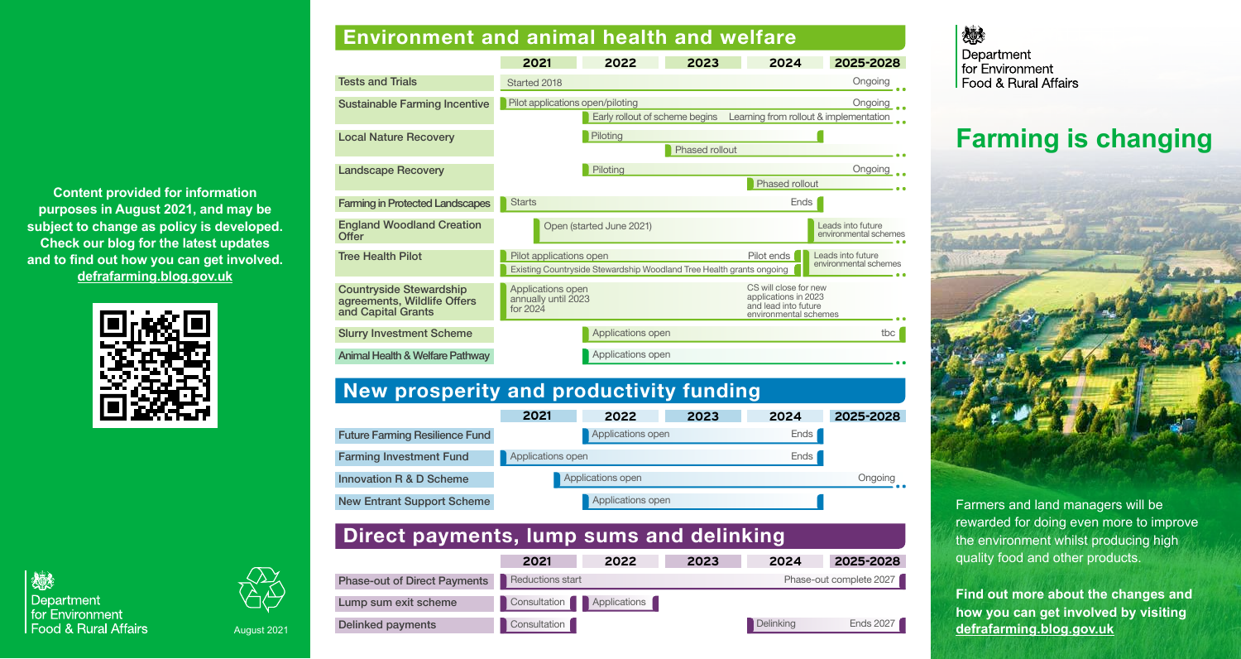**Content provided for information purposes in August 2021, and may be subject to change as policy is developed. Check our blog for the latest updates and to find out how you can get involved. defrafarming.blog.gov.uk**





德

Department

# August 2021

# **Environment and animal health and welfare**

|                                                                                     | 2021                                                                                            | 2022                           | 2023                  | 2024                                                                                           | 2025-2028                                         |  |
|-------------------------------------------------------------------------------------|-------------------------------------------------------------------------------------------------|--------------------------------|-----------------------|------------------------------------------------------------------------------------------------|---------------------------------------------------|--|
| <b>Tests and Trials</b>                                                             | Started 2018                                                                                    |                                |                       |                                                                                                | Ongoing                                           |  |
| <b>Sustainable Farming Incentive</b>                                                | Pilot applications open/piloting                                                                | Early rollout of scheme begins |                       |                                                                                                | Ongoing<br>Learning from rollout & implementation |  |
| <b>Local Nature Recovery</b>                                                        |                                                                                                 | Piloting                       | <b>Phased rollout</b> |                                                                                                |                                                   |  |
| <b>Landscape Recovery</b>                                                           |                                                                                                 | Piloting                       |                       | Phased rollout                                                                                 | Ongoing                                           |  |
| <b>Farming in Protected Landscapes</b>                                              | <b>Starts</b>                                                                                   |                                |                       | Ends                                                                                           |                                                   |  |
| <b>England Woodland Creation</b><br><b>Offer</b>                                    | Open (started June 2021)                                                                        |                                |                       | Leads into future<br>environmental schemes                                                     |                                                   |  |
| <b>Tree Health Pilot</b>                                                            | Pilot applications open<br>Existing Countryside Stewardship Woodland Tree Health grants ongoing |                                |                       | Pilot ends                                                                                     | Leads into future<br>environmental schemes        |  |
| <b>Countryside Stewardship</b><br>agreements, Wildlife Offers<br>and Capital Grants | Applications open<br>annually until 2023<br>for 2024                                            |                                |                       | CS will close for new<br>applications in 2023<br>and lead into future<br>environmental schemes |                                                   |  |
| <b>Slurry Investment Scheme</b>                                                     |                                                                                                 | Applications open              |                       |                                                                                                | tbc                                               |  |
| <b>Animal Health &amp; Welfare Pathway</b>                                          |                                                                                                 | Applications open              |                       |                                                                                                |                                                   |  |

# **New prosperity and productivity funding**

|                                       | 2021              | 2022              | 2023 | 2024 | 2025-2028 |
|---------------------------------------|-------------------|-------------------|------|------|-----------|
| <b>Future Farming Resilience Fund</b> |                   | Applications open |      | Ends |           |
| <b>Farming Investment Fund</b>        | Applications open |                   |      | Ends |           |
| <b>Innovation R &amp; D Scheme</b>    | Applications open |                   |      |      | Ongoing   |
| <b>New Entrant Support Scheme</b>     |                   | Applications open |      |      |           |

# **Direct payments, lump sums and delinking**

|                                     | 2021                              | 2022 | 2023 | 2024      | 2025-2028               |
|-------------------------------------|-----------------------------------|------|------|-----------|-------------------------|
| <b>Phase-out of Direct Payments</b> | <b>Reductions start</b>           |      |      |           | Phase-out complete 2027 |
| Lump sum exit scheme                | Consultation <b>PApplications</b> |      |      |           |                         |
| <b>Delinked payments</b>            | Consultation                      |      |      | Delinking | <b>Ends 2027</b>        |

#### 燃 Department for Environment Food & Rural Affairs

# **Farming is changing**



Farmers and land managers will be rewarded for doing even more to improve the environment whilst producing high quality food and other products.

**Find out more about the changes and how you can get involved by visiting defrafarming.blog.gov.uk**